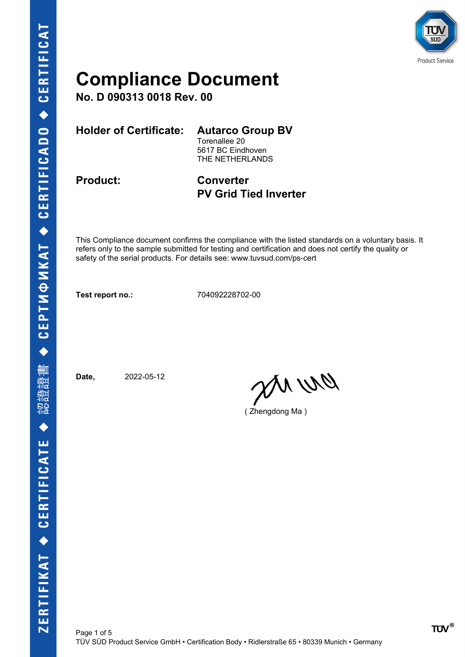

**No. D 090313 0018 Rev. 00**

**Holder of Certificate: Autarco Group BV**

Torenallee 20 5617 BC Eindhoven THE NETHERLANDS

**Product: Converter PV Grid Tied Inverter**

This Compliance document confirms the compliance with the listed standards on a voluntary basis. It refers only to the sample submitted for testing and certification and does not certify the quality or safety of the serial products. For details see: www.tuvsud.com/ps-cert

**Test report no.:** 704092228702-00

**Date,** 2022-05-12

an wa

( Zhengdong Ma )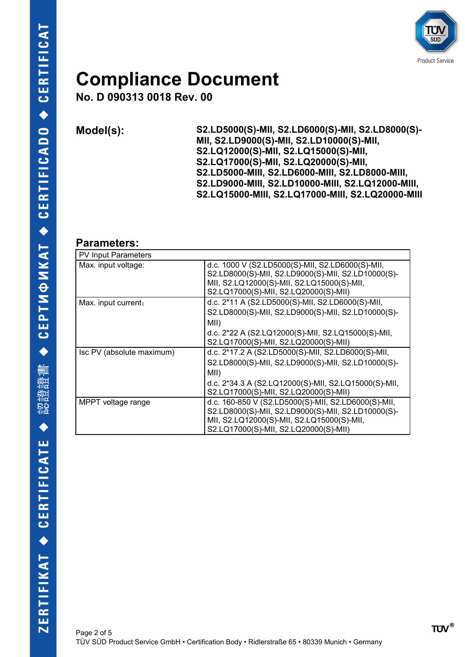

**No. D 090313 0018 Rev. 00**

**Model(s): S2.LD5000(S)-MII, S2.LD6000(S)-MII, S2.LD8000(S)- MII, S2.LD9000(S)-MII, S2.LD10000(S)-MII, S2.LQ12000(S)-MII, S2.LQ15000(S)-MII, S2.LQ17000(S)-MII, S2.LQ20000(S)-MII, S2.LD5000-MIII, S2.LD6000-MIII, S2.LD8000-MIII, S2.LD9000-MIII, S2.LD10000-MIII, S2.LQ12000-MIII, S2.LQ15000-MIII, S2.LQ17000-MIII, S2.LQ20000-MIII**

#### **Parameters:**

| <b>PV Input Parameters</b> |                                                                                                                                                                                                         |
|----------------------------|---------------------------------------------------------------------------------------------------------------------------------------------------------------------------------------------------------|
| Max. input voltage:        | d.c. $1000 \text{ V}$ (S2.LD5000(S)-MII, S2.LD6000(S)-MII,<br>S2.LD8000(S)-MII, S2.LD9000(S)-MII, S2.LD10000(S)-<br>MII, S2.LQ12000(S)-MII, S2.LQ15000(S)-MII,<br>S2.LQ17000(S)-MII, S2.LQ20000(S)-MII) |
| Max. input current:        | d.c. 2*11 A (S2.LD5000(S)-MII, S2.LD6000(S)-MII,<br>S2.LD8000(S)-MII, S2.LD9000(S)-MII, S2.LD10000(S)-<br>MII)<br>d.c. 2*22 A (S2.LQ12000(S)-MII, S2.LQ15000(S)-MII,                                    |
|                            | S2.LQ17000(S)-MII, S2.LQ20000(S)-MII)                                                                                                                                                                   |
| Isc PV (absolute maximum)  | d.c. 2*17.2 A (S2.LD5000(S)-MII, S2.LD6000(S)-MII,<br>S2.LD8000(S)-MII, S2.LD9000(S)-MII, S2.LD10000(S)-<br>MII)                                                                                        |
|                            | d.c. 2*34.3 A (S2.LQ12000(S)-MII, S2.LQ15000(S)-MII,<br>S2.LQ17000(S)-MII, S2.LQ20000(S)-MII)                                                                                                           |
| MPPT voltage range         | d.c. 160-850 V (S2.LD5000(S)-MII, S2.LD6000(S)-MII,<br>S2.LD8000(S)-MII, S2.LD9000(S)-MII, S2.LD10000(S)-<br>MII, S2.LQ12000(S)-MII, S2.LQ15000(S)-MII,<br>S2.LQ17000(S)-MII, S2.LQ20000(S)-MII)        |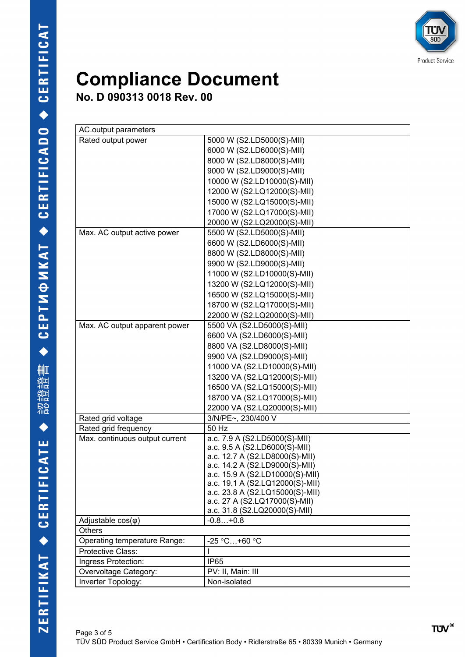

**No. D 090313 0018 Rev. 00**

| AC.output parameters           |                                                                  |
|--------------------------------|------------------------------------------------------------------|
| Rated output power             | 5000 W (S2.LD5000(S)-MII)                                        |
|                                | 6000 W (S2.LD6000(S)-MII)                                        |
|                                | 8000 W (S2.LD8000(S)-MII)                                        |
|                                | 9000 W (S2.LD9000(S)-MII)                                        |
|                                | 10000 W (S2.LD10000(S)-MII)                                      |
|                                | 12000 W (S2.LQ12000(S)-MII)                                      |
|                                | 15000 W (S2.LQ15000(S)-MII)                                      |
|                                | 17000 W (S2.LQ17000(S)-MII)                                      |
|                                | 20000 W (S2.LQ20000(S)-MII)                                      |
| Max. AC output active power    | 5500 W (S2.LD5000(S)-MII)                                        |
|                                | 6600 W (S2.LD6000(S)-MII)                                        |
|                                | 8800 W (S2.LD8000(S)-MII)                                        |
|                                | 9900 W (S2.LD9000(S)-MII)                                        |
|                                | 11000 W (S2.LD10000(S)-MII)                                      |
|                                | 13200 W (S2.LQ12000(S)-MII)                                      |
|                                | 16500 W (S2.LQ15000(S)-MII)                                      |
|                                | 18700 W (S2.LQ17000(S)-MII)                                      |
|                                | 22000 W (S2.LQ20000(S)-MII)                                      |
| Max. AC output apparent power  | 5500 VA (S2.LD5000(S)-MII)                                       |
|                                | 6600 VA (S2.LD6000(S)-MII)                                       |
|                                | 8800 VA (S2.LD8000(S)-MII)                                       |
|                                | 9900 VA (S2.LD9000(S)-MII)                                       |
|                                | 11000 VA (S2.LD10000(S)-MII)                                     |
|                                | 13200 VA (S2.LQ12000(S)-MII)                                     |
|                                | 16500 VA (S2.LQ15000(S)-MII)                                     |
|                                | 18700 VA (S2.LQ17000(S)-MII)                                     |
|                                | 22000 VA (S2.LQ20000(S)-MII)                                     |
| Rated grid voltage             | 3/N/PE~, 230/400 V                                               |
| Rated grid frequency           | 50 Hz                                                            |
| Max. continuous output current | a.c. 7.9 A (S2.LD5000(S)-MII)                                    |
|                                | a.c. 9.5 A (S2.LD6000(S)-MII)                                    |
|                                | a.c. 12.7 A (S2.LD8000(S)-MII)<br>a.c. 14.2 A (S2.LD9000(S)-MII) |
|                                | a.c. 15.9 A (S2.LD10000(S)-MII)                                  |
|                                | a.c. 19.1 A (S2.LQ12000(S)-MII)                                  |
|                                | a.c. 23.8 A (S2.LQ15000(S)-MII)                                  |
|                                | a.c. 27 A (S2.LQ17000(S)-MII)                                    |
|                                | a.c. 31.8 (S2.LQ20000(S)-MII)                                    |
| Adjustable $cos(\varphi)$      | $-0.8+0.8$                                                       |
| <b>Others</b>                  |                                                                  |
| Operating temperature Range:   | $-25 °C+60 °C$                                                   |
| Protective Class:              |                                                                  |
| Ingress Protection:            | IP <sub>65</sub>                                                 |
| Overvoltage Category:          | PV: II, Main: III                                                |
| Inverter Topology:             | Non-isolated                                                     |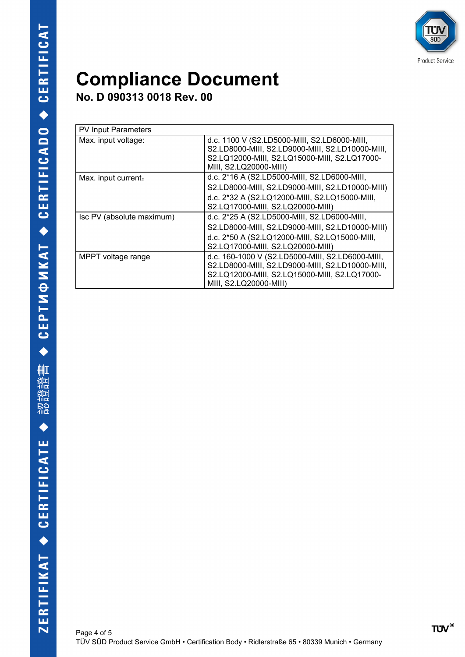

**No. D 090313 0018 Rev. 00**

| <b>PV Input Parameters</b> |                                                                                                                                                                                         |
|----------------------------|-----------------------------------------------------------------------------------------------------------------------------------------------------------------------------------------|
| Max. input voltage:        | d.c. 1100 V (S2.LD5000-MIII, S2.LD6000-MIII,<br>S2.LD8000-MIII, S2.LD9000-MIII, S2.LD10000-MIII,<br>S2.LQ12000-MIII, S2.LQ15000-MIII, S2.LQ17000-<br>MIII, S2.LQ20000-MIII)             |
| Max. input current:        | d.c. 2*16 A (S2.LD5000-MIII, S2.LD6000-MIII,<br>S2.LD8000-MIII, S2.LD9000-MIII, S2.LD10000-MIII)<br>d.c. 2*32 A (S2.LQ12000-MIII, S2.LQ15000-MIII,<br>S2.LQ17000-MIII, S2.LQ20000-MIII) |
| Isc PV (absolute maximum)  | d.c. 2*25 A (S2.LD5000-MIII, S2.LD6000-MIII,<br>S2.LD8000-MIII, S2.LD9000-MIII, S2.LD10000-MIII)<br>d.c. 2*50 A (S2.LQ12000-MIII, S2.LQ15000-MIII,<br>S2.LQ17000-MIII, S2.LQ20000-MIII) |
| MPPT voltage range         | d.c. 160-1000 V (S2.LD5000-MIII, S2.LD6000-MIII,<br>S2.LD8000-MIII, S2.LD9000-MIII, S2.LD10000-MIII,<br>S2.LQ12000-MIII, S2.LQ15000-MIII, S2.LQ17000-<br>MIII, S2.LQ20000-MIII)         |